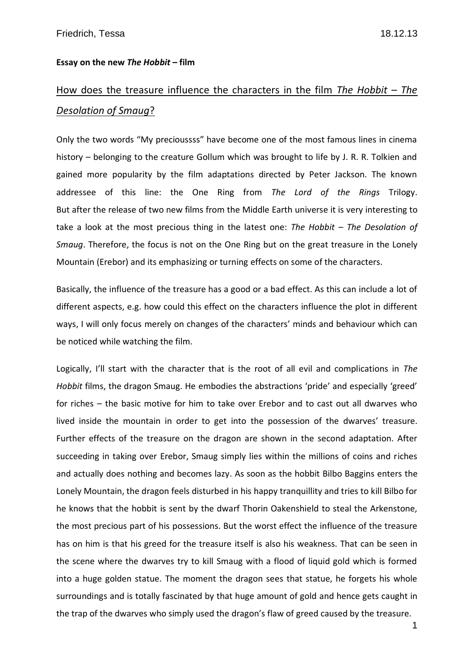## **Essay on the new** *The Hobbit* **– film**

## How does the treasure influence the characters in the film *The Hobbit – The Desolation of Smaug*?

Only the two words "My precioussss" have become one of the most famous lines in cinema history – belonging to the creature Gollum which was brought to life by J. R. R. Tolkien and gained more popularity by the film adaptations directed by Peter Jackson. The known addressee of this line: the One Ring from *The Lord of the Rings* Trilogy. But after the release of two new films from the Middle Earth universe it is very interesting to take a look at the most precious thing in the latest one: *The Hobbit – The Desolation of Smaug*. Therefore, the focus is not on the One Ring but on the great treasure in the Lonely Mountain (Erebor) and its emphasizing or turning effects on some of the characters.

Basically, the influence of the treasure has a good or a bad effect. As this can include a lot of different aspects, e.g. how could this effect on the characters influence the plot in different ways, I will only focus merely on changes of the characters' minds and behaviour which can be noticed while watching the film.

Logically, I'll start with the character that is the root of all evil and complications in *The Hobbit* films, the dragon Smaug. He embodies the abstractions 'pride' and especially 'greed' for riches – the basic motive for him to take over Erebor and to cast out all dwarves who lived inside the mountain in order to get into the possession of the dwarves' treasure. Further effects of the treasure on the dragon are shown in the second adaptation. After succeeding in taking over Erebor, Smaug simply lies within the millions of coins and riches and actually does nothing and becomes lazy. As soon as the hobbit Bilbo Baggins enters the Lonely Mountain, the dragon feels disturbed in his happy tranquillity and tries to kill Bilbo for he knows that the hobbit is sent by the dwarf Thorin Oakenshield to steal the Arkenstone, the most precious part of his possessions. But the worst effect the influence of the treasure has on him is that his greed for the treasure itself is also his weakness. That can be seen in the scene where the dwarves try to kill Smaug with a flood of liquid gold which is formed into a huge golden statue. The moment the dragon sees that statue, he forgets his whole surroundings and is totally fascinated by that huge amount of gold and hence gets caught in the trap of the dwarves who simply used the dragon's flaw of greed caused by the treasure.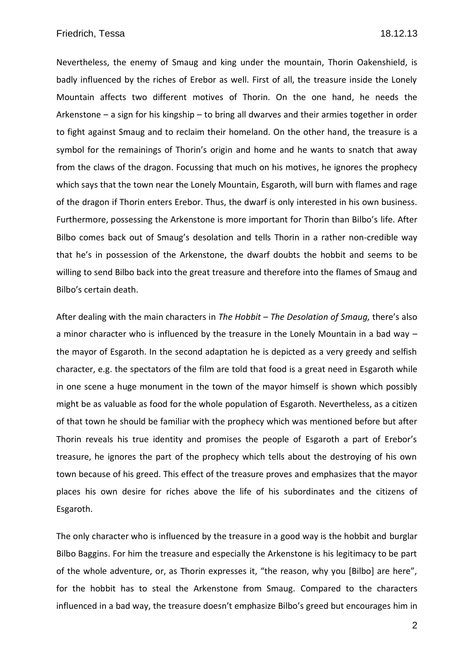Nevertheless, the enemy of Smaug and king under the mountain, Thorin Oakenshield, is badly influenced by the riches of Erebor as well. First of all, the treasure inside the Lonely Mountain affects two different motives of Thorin. On the one hand, he needs the Arkenstone – a sign for his kingship – to bring all dwarves and their armies together in order to fight against Smaug and to reclaim their homeland. On the other hand, the treasure is a symbol for the remainings of Thorin's origin and home and he wants to snatch that away from the claws of the dragon. Focussing that much on his motives, he ignores the prophecy which says that the town near the Lonely Mountain, Esgaroth, will burn with flames and rage of the dragon if Thorin enters Erebor. Thus, the dwarf is only interested in his own business. Furthermore, possessing the Arkenstone is more important for Thorin than Bilbo's life. After Bilbo comes back out of Smaug's desolation and tells Thorin in a rather non-credible way that he's in possession of the Arkenstone, the dwarf doubts the hobbit and seems to be willing to send Bilbo back into the great treasure and therefore into the flames of Smaug and Bilbo's certain death.

After dealing with the main characters in *The Hobbit – The Desolation of Smaug,* there's also a minor character who is influenced by the treasure in the Lonely Mountain in a bad way – the mayor of Esgaroth. In the second adaptation he is depicted as a very greedy and selfish character, e.g. the spectators of the film are told that food is a great need in Esgaroth while in one scene a huge monument in the town of the mayor himself is shown which possibly might be as valuable as food for the whole population of Esgaroth. Nevertheless, as a citizen of that town he should be familiar with the prophecy which was mentioned before but after Thorin reveals his true identity and promises the people of Esgaroth a part of Erebor's treasure, he ignores the part of the prophecy which tells about the destroying of his own town because of his greed. This effect of the treasure proves and emphasizes that the mayor places his own desire for riches above the life of his subordinates and the citizens of Esgaroth.

The only character who is influenced by the treasure in a good way is the hobbit and burglar Bilbo Baggins. For him the treasure and especially the Arkenstone is his legitimacy to be part of the whole adventure, or, as Thorin expresses it, "the reason, why you [Bilbo] are here", for the hobbit has to steal the Arkenstone from Smaug. Compared to the characters influenced in a bad way, the treasure doesn't emphasize Bilbo's greed but encourages him in